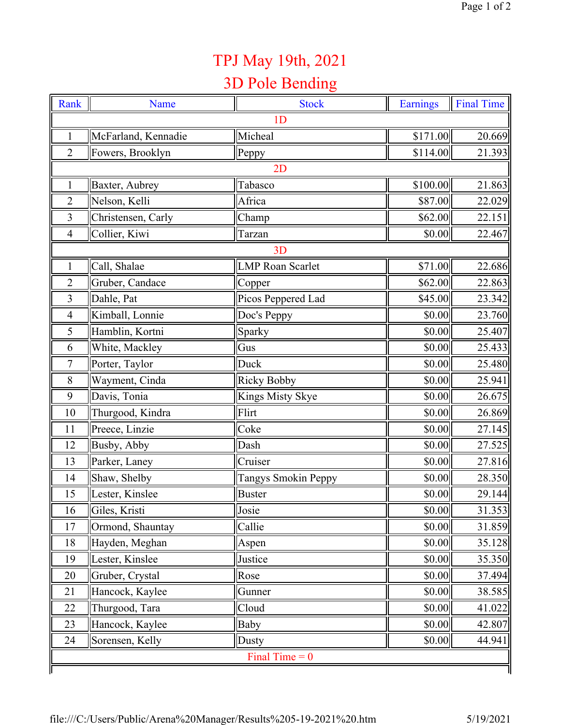## TPJ May 19th, 2021

## 3D Pole Bending

| Rank             | Name                | <b>Stock</b>            | <b>Earnings</b> | <b>Final Time</b> |  |  |  |
|------------------|---------------------|-------------------------|-----------------|-------------------|--|--|--|
| 1 <sub>D</sub>   |                     |                         |                 |                   |  |  |  |
| 1                | McFarland, Kennadie | Micheal                 | \$171.00        | 20.669            |  |  |  |
| $\overline{2}$   | Fowers, Brooklyn    | Peppy                   | \$114.00        | 21.393            |  |  |  |
| 2D               |                     |                         |                 |                   |  |  |  |
| 1                | Baxter, Aubrey      | Tabasco                 | \$100.00        | 21.863            |  |  |  |
| $\overline{2}$   | Nelson, Kelli       | Africa                  | \$87.00         | 22.029            |  |  |  |
| $\overline{3}$   | Christensen, Carly  | Champ                   | \$62.00         | 22.151            |  |  |  |
| $\overline{4}$   | Collier, Kiwi       | Tarzan                  | \$0.00          | 22.467            |  |  |  |
| 3D               |                     |                         |                 |                   |  |  |  |
| 1                | Call, Shalae        | <b>LMP</b> Roan Scarlet | \$71.00         | 22.686            |  |  |  |
| 2                | Gruber, Candace     | Copper                  | \$62.00         | 22.863            |  |  |  |
| 3                | Dahle, Pat          | Picos Peppered Lad      | \$45.00         | 23.342            |  |  |  |
| $\overline{4}$   | Kimball, Lonnie     | Doc's Peppy             | \$0.00          | 23.760            |  |  |  |
| 5                | Hamblin, Kortni     | Sparky                  | \$0.00          | 25.407            |  |  |  |
| 6                | White, Mackley      | Gus                     | \$0.00          | 25.433            |  |  |  |
| 7                | Porter, Taylor      | Duck                    | \$0.00          | 25.480            |  |  |  |
| 8                | Wayment, Cinda      | <b>Ricky Bobby</b>      | \$0.00          | 25.941            |  |  |  |
| 9                | Davis, Tonia        | Kings Misty Skye        | \$0.00          | 26.675            |  |  |  |
| 10               | Thurgood, Kindra    | Flirt                   | \$0.00          | 26.869            |  |  |  |
| 11               | Preece, Linzie      | Coke                    | \$0.00          | 27.145            |  |  |  |
| 12               | Busby, Abby         | Dash                    | \$0.00          | 27.525            |  |  |  |
| 13               | Parker, Laney       | Cruiser                 | \$0.00          | 27.816            |  |  |  |
| 14               | Shaw, Shelby        | Tangys Smokin Peppy     | \$0.00          | 28.350            |  |  |  |
| 15               | Lester, Kinslee     | <b>Buster</b>           | \$0.00          | 29.144            |  |  |  |
| 16               | Giles, Kristi       | Josie                   | \$0.00          | 31.353            |  |  |  |
| 17               | Ormond, Shauntay    | Callie                  | \$0.00          | 31.859            |  |  |  |
| 18               | Hayden, Meghan      | Aspen                   | \$0.00          | 35.128            |  |  |  |
| 19               | Lester, Kinslee     | Justice                 | \$0.00          | 35.350            |  |  |  |
| 20               | Gruber, Crystal     | Rose                    | \$0.00          | 37.494            |  |  |  |
| 21               | Hancock, Kaylee     | Gunner                  | \$0.00          | 38.585            |  |  |  |
| 22               | Thurgood, Tara      | Cloud                   | \$0.00          | 41.022            |  |  |  |
| 23               | Hancock, Kaylee     | Baby                    | \$0.00          | 42.807            |  |  |  |
| 24               | Sorensen, Kelly     | Dusty                   | \$0.00          | 44.941            |  |  |  |
| Final Time $= 0$ |                     |                         |                 |                   |  |  |  |
|                  |                     |                         |                 |                   |  |  |  |